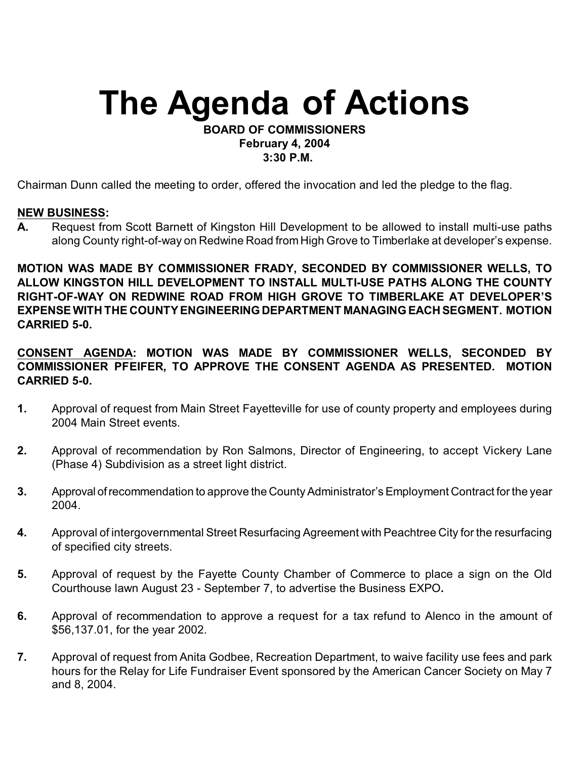# **The Agenda of Actions**

## **BOARD OF COMMISSIONERS February 4, 2004 3:30 P.M.**

Chairman Dunn called the meeting to order, offered the invocation and led the pledge to the flag.

# **NEW BUSINESS:**

**A.** Request from Scott Barnett of Kingston Hill Development to be allowed to install multi-use paths along County right-of-way on Redwine Road from High Grove to Timberlake at developer's expense.

**MOTION WAS MADE BY COMMISSIONER FRADY, SECONDED BY COMMISSIONER WELLS, TO ALLOW KINGSTON HILL DEVELOPMENT TO INSTALL MULTI-USE PATHS ALONG THE COUNTY RIGHT-OF-WAY ON REDWINE ROAD FROM HIGH GROVE TO TIMBERLAKE AT DEVELOPER'S EXPENSE WITH THE COUNTY ENGINEERING DEPARTMENT MANAGING EACH SEGMENT. MOTION CARRIED 5-0.**

**CONSENT AGENDA: MOTION WAS MADE BY COMMISSIONER WELLS, SECONDED BY COMMISSIONER PFEIFER, TO APPROVE THE CONSENT AGENDA AS PRESENTED. MOTION CARRIED 5-0.**

- **1.** Approval of request from Main Street Fayetteville for use of county property and employees during 2004 Main Street events.
- **2.** Approval of recommendation by Ron Salmons, Director of Engineering, to accept Vickery Lane (Phase 4) Subdivision as a street light district.
- **3.** Approval of recommendation to approve the County Administrator's Employment Contract for the year 2004.
- **4.** Approval of intergovernmental Street Resurfacing Agreement with Peachtree City for the resurfacing of specified city streets.
- **5.** Approval of request by the Fayette County Chamber of Commerce to place a sign on the Old Courthouse lawn August 23 - September 7, to advertise the Business EXPO**.**
- **6.** Approval of recommendation to approve a request for a tax refund to Alenco in the amount of \$56,137.01, for the year 2002.
- **7.** Approval of request from Anita Godbee, Recreation Department, to waive facility use fees and park hours for the Relay for Life Fundraiser Event sponsored by the American Cancer Society on May 7 and 8, 2004.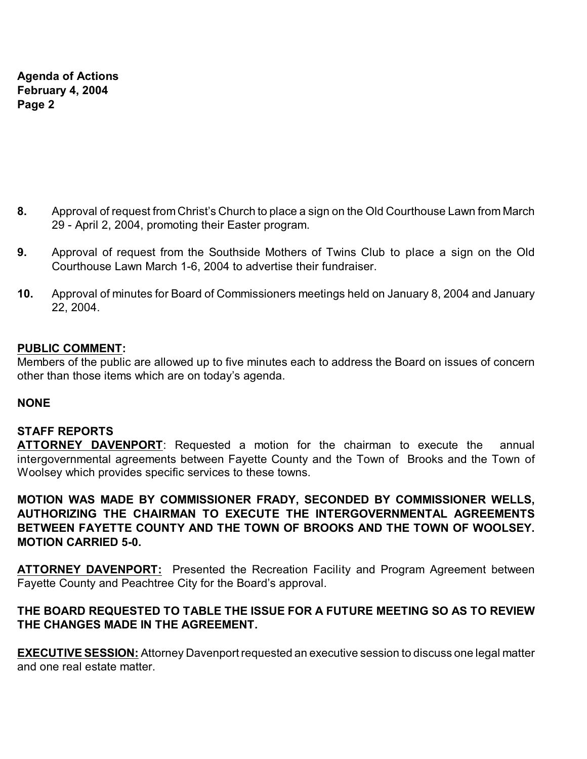**Agenda of Actions February 4, 2004 Page 2**

- **8.** Approval of request from Christ's Church to place a sign on the Old Courthouse Lawn from March 29 - April 2, 2004, promoting their Easter program.
- **9.** Approval of request from the Southside Mothers of Twins Club to place a sign on the Old Courthouse Lawn March 1-6, 2004 to advertise their fundraiser.
- **10.** Approval of minutes for Board of Commissioners meetings held on January 8, 2004 and January 22, 2004.

#### **PUBLIC COMMENT:**

Members of the public are allowed up to five minutes each to address the Board on issues of concern other than those items which are on today's agenda.

#### **NONE**

#### **STAFF REPORTS**

**ATTORNEY DAVENPORT**: Requested a motion for the chairman to execute the annual intergovernmental agreements between Fayette County and the Town of Brooks and the Town of Woolsey which provides specific services to these towns.

**MOTION WAS MADE BY COMMISSIONER FRADY, SECONDED BY COMMISSIONER WELLS, AUTHORIZING THE CHAIRMAN TO EXECUTE THE INTERGOVERNMENTAL AGREEMENTS BETWEEN FAYETTE COUNTY AND THE TOWN OF BROOKS AND THE TOWN OF WOOLSEY. MOTION CARRIED 5-0.**

**ATTORNEY DAVENPORT:** Presented the Recreation Facility and Program Agreement between Fayette County and Peachtree City for the Board's approval.

# **THE BOARD REQUESTED TO TABLE THE ISSUE FOR A FUTURE MEETING SO AS TO REVIEW THE CHANGES MADE IN THE AGREEMENT.**

**EXECUTIVE SESSION:** Attorney Davenport requested an executive session to discuss one legal matter and one real estate matter.